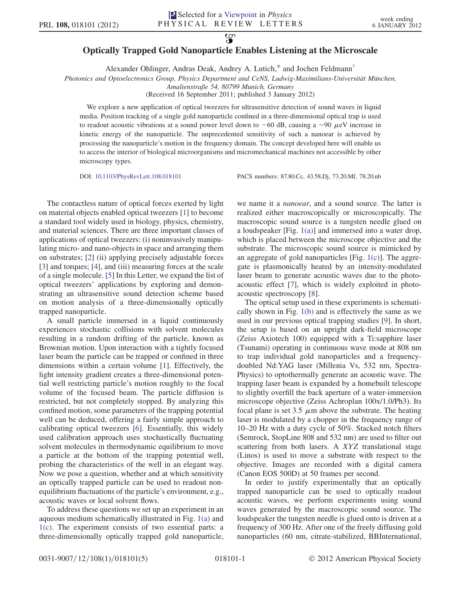## $\overline{\mathcal{G}}$ Optically Trapped Gold Nanoparticle Enables Listening at the Microscale

Alexander Ohlinger, Andras Deak, Andrey A. Lutich,[\\*](#page-4-0) and Jochen Feldmann[†](#page-4-1)

<span id="page-0-0"></span>Photonics and Optoelectronics Group, Physics Department and CeNS, Ludwig-Maximilians-Universität München,

Amalienstraße 54, 80799 Munich, Germany

(Received 16 September 2011; published 3 January 2012)

We explore a new application of optical tweezers for ultrasensitive detection of sound waves in liquid media. Position tracking of a single gold nanoparticle confined in a three-dimensional optical trap is used to readout acoustic vibrations at a sound power level down to  $-60$  dB, causing a  $\sim$ 90  $\mu$ eV increase in kinetic energy of the nanoparticle. The unprecedented sensitivity of such a nanoear is achieved by processing the nanoparticle's motion in the frequency domain. The concept developed here will enable us to access the interior of biological microorganisms and micromechanical machines not accessible by other microscopy types.

DOI: [10.1103/PhysRevLett.108.018101](http://dx.doi.org/10.1103/PhysRevLett.108.018101) PACS numbers: 87.80.Cc, 43.58.Dj, 73.20.Mf, 78.20.nb

The contactless nature of optical forces exerted by light on material objects enabled optical tweezers [[1\]](#page-4-2) to become a standard tool widely used in biology, physics, chemistry, and material sciences. There are three important classes of applications of optical tweezers: (i) noninvasively manipulating micro- and nano-objects in space and arranging them on substrates; [[2\]](#page-4-3) (ii) applying precisely adjustable forces [\[3\]](#page-4-4) and torques; [[4\]](#page-4-5), and (iii) measuring forces at the scale of a single molecule. [\[5\]](#page-4-6) In this Letter, we expand the list of optical tweezers' applications by exploring and demonstrating an ultrasensitive sound detection scheme based on motion analysis of a three-dimensionally optically trapped nanoparticle.

A small particle immersed in a liquid continuously experiences stochastic collisions with solvent molecules resulting in a random drifting of the particle, known as Brownian motion. Upon interaction with a tightly focused laser beam the particle can be trapped or confined in three dimensions within a certain volume [\[1](#page-4-2)]. Effectively, the light intensity gradient creates a three-dimensional potential well restricting particle's motion roughly to the focal volume of the focused beam. The particle diffusion is restricted, but not completely stopped. By analyzing this confined motion, some parameters of the trapping potential well can be deduced, offering a fairly simple approach to calibrating optical tweezers [[6](#page-4-7)]. Essentially, this widely used calibration approach uses stochastically fluctuating solvent molecules in thermodynamic equilibrium to move a particle at the bottom of the trapping potential well, probing the characteristics of the well in an elegant way. Now we pose a question, whether and at which sensitivity an optically trapped particle can be used to readout nonequilibrium fluctuations of the particle's environment, e.g., acoustic waves or local solvent flows.

To address these questions we set up an experiment in an aqueous medium schematically illustrated in Fig. [1\(a\)](#page-1-0) and [1\(c\).](#page-1-0) The experiment consists of two essential parts: a three-dimensionally optically trapped gold nanoparticle, we name it a nanoear, and a sound source. The latter is realized either macroscopically or microscopically. The macroscopic sound source is a tungsten needle glued on a loudspeaker [Fig. [1\(a\)](#page-1-0)] and immersed into a water drop, which is placed between the microscope objective and the substrate. The microscopic sound source is mimicked by an aggregate of gold nanoparticles [Fig. [1\(c\)\]](#page-1-0). The aggregate is plasmonically heated by an intensity-modulated laser beam to generate acoustic waves due to the photoacoustic effect [[7\]](#page-4-8), which is widely exploited in photoacoustic spectroscopy [[8\]](#page-4-9).

The optical setup used in these experiments is schematically shown in Fig. [1\(b\)](#page-1-0) and is effectively the same as we used in our previous optical trapping studies [\[9](#page-4-10)]. In short, the setup is based on an upright dark-field microscope (Zeiss Axiotech 100) equipped with a Ti:sapphire laser (Tsunami) operating in continuous wave mode at 808 nm to trap individual gold nanoparticles and a frequencydoubled Nd:YAG laser (Millenia Vs, 532 nm, Spectra-Physics) to optothermally generate an acoustic wave. The trapping laser beam is expanded by a homebuilt telescope to slightly overfill the back aperture of a water-immersion microscope objective (Zeiss Achroplan 100x/1.0/Ph3). Its focal plane is set 3.5  $\mu$ m above the substrate. The heating laser is modulated by a chopper in the frequency range of 10–20 Hz with a duty cycle of 50%. Stacked notch filters (Semrock, StopLine 808 and 532 nm) are used to filter out scattering from both lasers. A XYZ translational stage (Linos) is used to move a substrate with respect to the objective. Images are recorded with a digital camera (Canon EOS 500D) at 50 frames per second.

In order to justify experimentally that an optically trapped nanoparticle can be used to optically readout acoustic waves, we perform experiments using sound waves generated by the macroscopic sound source. The loudspeaker the tungsten needle is glued onto is driven at a frequency of 300 Hz. After one of the freely diffusing gold nanoparticles (60 nm, citrate-stabilized, BBInternational,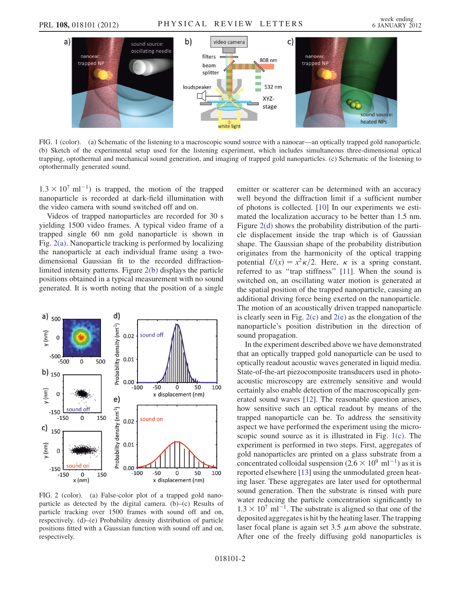

<span id="page-1-0"></span>FIG. 1 (color). (a) Schematic of the listening to a macroscopic sound source with a nanoear—an optically trapped gold nanoparticle. (b) Sketch of the experimental setup used for the listening experiment, which includes simultaneous three-dimensional optical trapping, optothermal and mechanical sound generation, and imaging of trapped gold nanoparticles. (c) Schematic of the listening to optothermally generated sound.

 $1.3 \times 10^7$  ml<sup>-1</sup>) is trapped, the motion of the trapped nanoparticle is recorded at dark-field illumination with the video camera with sound switched off and on.

Videos of trapped nanoparticles are recorded for 30 s yielding 1500 video frames. A typical video frame of a trapped single 60 nm gold nanoparticle is shown in Fig. [2\(a\).](#page-1-1) Nanoparticle tracking is performed by localizing the nanoparticle at each individual frame using a twodimensional Gaussian fit to the recorded diffractionlimited intensity patterns. Figure [2\(b\)](#page-1-1) displays the particle positions obtained in a typical measurement with no sound generated. It is worth noting that the position of a single



<span id="page-1-1"></span>FIG. 2 (color). (a) False-color plot of a trapped gold nanoparticle as detected by the digital camera. (b)–(c) Results of particle tracking over 1500 frames with sound off and on, respectively. (d)–(e) Probability density distribution of particle positions fitted with a Gaussian function with sound off and on, respectively.

emitter or scatterer can be determined with an accuracy well beyond the diffraction limit if a sufficient number of photons is collected. [\[10](#page-4-11)] In our experiments we estimated the localization accuracy to be better than 1.5 nm. Figure [2\(d\)](#page-1-1) shows the probability distribution of the particle displacement inside the trap which is of Gaussian shape. The Gaussian shape of the probability distribution originates from the harmonicity of the optical trapping potential  $U(x) = x^2 \kappa/2$ . Here,  $\kappa$  is a spring constant, referred to as ''trap stiffness'' [\[11\]](#page-4-12). When the sound is switched on, an oscillating water motion is generated at the spatial position of the trapped nanoparticle, causing an additional driving force being exerted on the nanoparticle. The motion of an acoustically driven trapped nanoparticle is clearly seen in Fig. [2\(c\)](#page-1-1) and [2\(e\)](#page-1-1) as the elongation of the nanoparticle's position distribution in the direction of sound propagation.

In the experiment described above we have demonstrated that an optically trapped gold nanoparticle can be used to optically readout acoustic waves generated in liquid media. State-of-the-art piezocomposite transducers used in photoacoustic microscopy are extremely sensitive and would certainly also enable detection of the macroscopically generated sound waves [[12](#page-4-13)]. The reasonable question arises, how sensitive such an optical readout by means of the trapped nanoparticle can be. To address the sensitivity aspect we have performed the experiment using the microscopic sound source as it is illustrated in Fig. [1\(c\).](#page-1-0) The experiment is performed in two steps. First, aggregates of gold nanoparticles are printed on a glass substrate from a concentrated colloidal suspension  $(2.6 \times 10^9 \text{ ml}^{-1})$  as it is reported elsewhere [[13](#page-4-14)] using the unmodulated green heating laser. These aggregates are later used for optothermal sound generation. Then the substrate is rinsed with pure water reducing the particle concentration significantly to  $1.3 \times 10^7$  ml<sup>-1</sup>. The substrate is aligned so that one of the deposited aggregates is hit by the heating laser. The trapping laser focal plane is again set 3.5  $\mu$ m above the substrate. After one of the freely diffusing gold nanoparticles is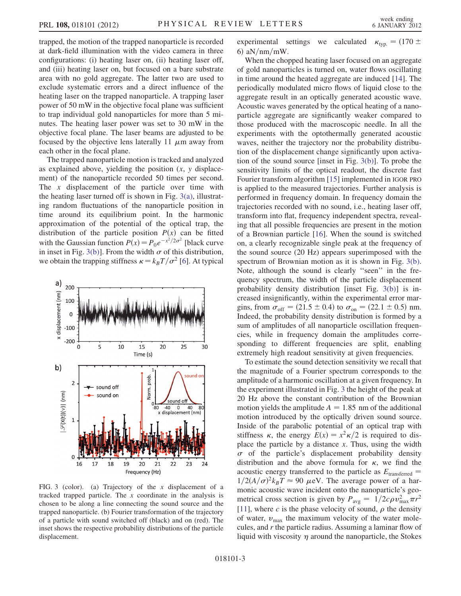trapped, the motion of the trapped nanoparticle is recorded at dark-field illumination with the video camera in three configurations: (i) heating laser on, (ii) heating laser off, and (iii) heating laser on, but focused on a bare substrate area with no gold aggregate. The latter two are used to exclude systematic errors and a direct influence of the heating laser on the trapped nanoparticle. A trapping laser power of 50 mW in the objective focal plane was sufficient to trap individual gold nanoparticles for more than 5 minutes. The heating laser power was set to 30 mW in the objective focal plane. The laser beams are adjusted to be focused by the objective lens laterally 11  $\mu$ m away from each other in the focal plane.

The trapped nanoparticle motion is tracked and analyzed as explained above, yielding the position  $(x, y)$  displacement) of the nanoparticle recorded 50 times per second. The  $x$  displacement of the particle over time with the heating laser turned off is shown in Fig. [3\(a\),](#page-2-0) illustrating random fluctuations of the nanoparticle position in time around its equilibrium point. In the harmonic approximation of the potential of the optical trap, the distribution of the particle position  $P(x)$  can be fitted with the Gaussian function  $P(x) = P_0 e^{-x^2/2\sigma^2}$  [black curve in inset in Fig. [3\(b\)](#page-2-0)]. From the width  $\sigma$  of this distribution, we obtain the trapping stiffness  $\kappa = k_B T / \sigma^2$  [[6](#page-4-7)]. At typical

<span id="page-2-1"></span>

<span id="page-2-0"></span>FIG. 3 (color). (a) Trajectory of the  $x$  displacement of a tracked trapped particle. The  $x$  coordinate in the analysis is chosen to be along a line connecting the sound source and the trapped nanoparticle. (b) Fourier transformation of the trajectory of a particle with sound switched off (black) and on (red). The inset shows the respective probability distributions of the particle displacement.

experimental settings we calculated  $\kappa_{\text{typ.}} = (170 \pm$ 6)  $aN/nm/mW$ .

When the chopped heating laser focused on an aggregate of gold nanoparticles is turned on, water flows oscillating in time around the heated aggregate are induced [\[14\]](#page-4-15). The periodically modulated micro flows of liquid close to the aggregate result in an optically generated acoustic wave. Acoustic waves generated by the optical heating of a nanoparticle aggregate are significantly weaker compared to those produced with the macroscopic needle. In all the experiments with the optothermally generated acoustic waves, neither the trajectory nor the probability distribution of the displacement change significantly upon activation of the sound source [inset in Fig. [3\(b\)\]](#page-2-0). To probe the sensitivity limits of the optical readout, the discrete fast Fourier transform algorithm [[15](#page-4-16)] implemented in IGOR PRO is applied to the measured trajectories. Further analysis is performed in frequency domain. In frequency domain the trajectories recorded with no sound, i.e., heating laser off, transform into flat, frequency independent spectra, revealing that all possible frequencies are present in the motion of a Brownian particle [[16](#page-4-17)]. When the sound is switched on, a clearly recognizable single peak at the frequency of the sound source (20 Hz) appears superimposed with the spectrum of Brownian motion as it is shown in Fig. [3\(b\)](#page-2-0). Note, although the sound is clearly ''seen'' in the frequency spectrum, the width of the particle displacement probability density distribution [inset Fig. [3\(b\)](#page-2-0)] is increased insignificantly, within the experimental error margins, from  $\sigma_{\text{off}} = (21.5 \pm 0.4)$  to  $\sigma_{\text{on}} = (22.1 \pm 0.5)$  nm. Indeed, the probability density distribution is formed by a sum of amplitudes of all nanoparticle oscillation frequencies, while in frequency domain the amplitudes corresponding to different frequencies are split, enabling extremely high readout sensitivity at given frequencies.

To estimate the sound detection sensitivity we recall that the magnitude of a Fourier spectrum corresponds to the amplitude of a harmonic oscillation at a given frequency. In the experiment illustrated in Fig. [3](#page-2-1) the height of the peak at 20 Hz above the constant contribution of the Brownian motion yields the amplitude  $A = 1.85$  nm of the additional motion introduced by the optically driven sound source. Inside of the parabolic potential of an optical trap with stiffness  $\kappa$ , the energy  $E(x) = x^2 \kappa/2$  is required to displace the particle by a distance  $x$ . Thus, using the width  $\sigma$  of the particle's displacement probability density distribution and the above formula for  $\kappa$ , we find the acoustic energy transferred to the particle as  $E_{\text{transferred}} =$  $1/2(A/\sigma)^2 k_B T \approx 90 \mu \text{eV}$ . The average power of a harmonic acoustic wave incident onto the nanoparticle's geometrical cross section is given by  $P_{\text{avg}} = 1/2c\rho v_{\text{max}}^2 \pi r^2$ [\[11\]](#page-4-12), where c is the phase velocity of sound,  $\rho$  the density of water,  $v_{\text{max}}$  the maximum velocity of the water molecules, and  $r$  the particle radius. Assuming a laminar flow of liquid with viscosity  $\eta$  around the nanoparticle, the Stokes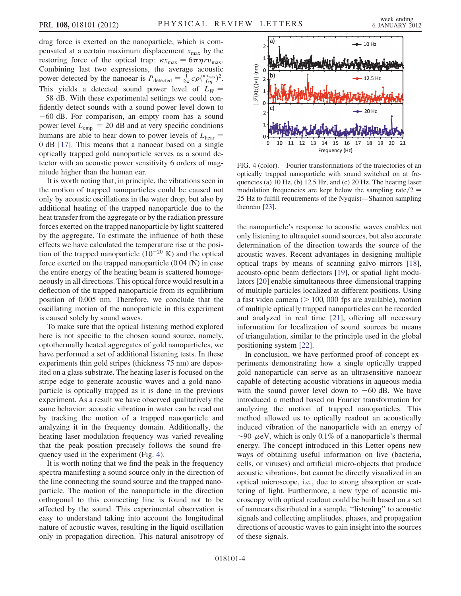drag force is exerted on the nanoparticle, which is compensated at a certain maximum displacement  $x_{\text{max}}$  by the restoring force of the optical trap:  $\kappa x_{\text{max}} = 6\pi \eta r v_{\text{max}}$ . Combining last two expressions, the average acoustic power detected by the nanoear is  $P_{\text{detected}} = \frac{1}{2\pi} c \rho \left(\frac{\kappa x_{\text{max}}}{6\eta}\right)^2$ . This yields a detected sound power level of  $L_W =$ 58 dB. With these experimental settings we could confidently detect sounds with a sound power level down to  $-60$  dB. For comparison, an empty room has a sound power level  $L_{emp.} = 20$  dB and at very specific conditions humans are able to hear down to power levels of  $L_{\text{hear}} =$ 0 dB [\[17\]](#page-4-18). This means that a nanoear based on a single optically trapped gold nanoparticle serves as a sound detector with an acoustic power sensitivity 6 orders of magnitude higher than the human ear.

It is worth noting that, in principle, the vibrations seen in the motion of trapped nanoparticles could be caused not only by acoustic oscillations in the water drop, but also by additional heating of the trapped nanoparticle due to the heat transfer from the aggregate or by the radiation pressure forces exerted on the trapped nanoparticle by light scattered by the aggregate. To estimate the influence of both these effects we have calculated the temperature rise at the position of the trapped nanoparticle  $(10^{-20} \text{ K})$  and the optical force exerted on the trapped nanoparticle (0.04 fN) in case the entire energy of the heating beam is scattered homogeneously in all directions. This optical force would result in a deflection of the trapped nanoparticle from its equilibrium position of 0.005 nm. Therefore, we conclude that the oscillating motion of the nanoparticle in this experiment is caused solely by sound waves.

To make sure that the optical listening method explored here is not specific to the chosen sound source, namely, optothermally heated aggregates of gold nanoparticles, we have performed a set of additional listening tests. In these experiments thin gold stripes (thickness 75 nm) are deposited on a glass substrate. The heating laser is focused on the stripe edge to generate acoustic waves and a gold nanoparticle is optically trapped as it is done in the previous experiment. As a result we have observed qualitatively the same behavior: acoustic vibration in water can be read out by tracking the motion of a trapped nanoparticle and analyzing it in the frequency domain. Additionally, the heating laser modulation frequency was varied revealing that the peak position precisely follows the sound frequency used in the experiment (Fig. [4\)](#page-3-0).

It is worth noting that we find the peak in the frequency spectra manifesting a sound source only in the direction of the line connecting the sound source and the trapped nanoparticle. The motion of the nanoparticle in the direction orthogonal to this connecting line is found not to be affected by the sound. This experimental observation is easy to understand taking into account the longitudinal nature of acoustic waves, resulting in the liquid oscillation only in propagation direction. This natural anisotropy of

<span id="page-3-0"></span>

FIG. 4 (color). Fourier transformations of the trajectories of an optically trapped nanoparticle with sound switched on at frequencies (a) 10 Hz, (b) 12.5 Hz, and (c) 20 Hz. The heating laser modulation frequencies are kept below the sampling rate/ $2 =$ 25 Hz to fulfill requirements of the Nyquist—Shannon sampling theorem [\[23\]](#page-4-24).

the nanoparticle's response to acoustic waves enables not only listening to ultraquiet sound sources, but also accurate determination of the direction towards the source of the acoustic waves. Recent advantages in designing multiple optical traps by means of scanning galvo mirrors [[18\]](#page-4-19), acousto-optic beam deflectors [\[19](#page-4-20)], or spatial light modulators [[20](#page-4-21)] enable simultaneous three-dimensional trapping of multiple particles localized at different positions. Using a fast video camera ( $> 100,000$  fps are available), motion of multiple optically trapped nanoparticles can be recorded and analyzed in real time [[21](#page-4-22)], offering all necessary information for localization of sound sources be means of triangulation, similar to the principle used in the global positioning system [[22](#page-4-23)].

In conclusion, we have performed proof-of-concept experiments demonstrating how a single optically trapped gold nanoparticle can serve as an ultrasensitive nanoear capable of detecting acoustic vibrations in aqueous media with the sound power level down to  $-60$  dB. We have introduced a method based on Fourier transformation for analyzing the motion of trapped nanoparticles. This method allowed us to optically readout an acoustically induced vibration of the nanoparticle with an energy of ~90  $\mu$ eV, which is only 0.1% of a nanoparticle's thermal energy. The concept introduced in this Letter opens new ways of obtaining useful information on live (bacteria, cells, or viruses) and artificial micro-objects that produce acoustic vibrations, but cannot be directly visualized in an optical microscope, i.e., due to strong absorption or scattering of light. Furthermore, a new type of acoustic microscopy with optical readout could be built based on a set of nanoears distributed in a sample, ''listening'' to acoustic signals and collecting amplitudes, phases, and propagation directions of acoustic waves to gain insight into the sources of these signals.